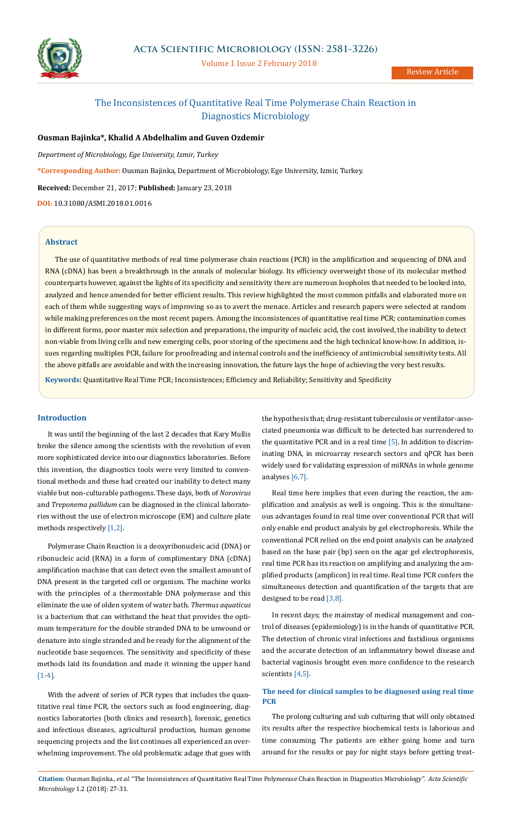

Volume 1 Issue 2 February 2018

Review Article

# The Inconsistences of Quantitative Real Time Polymerase Chain Reaction in Diagnostics Microbiology

# **Ousman Bajinka\*, Khalid A Abdelhalim and Guven Ozdemir**

*Department of Microbiology, Ege University, Izmir, Turkey*

**\*Corresponding Author:** Ousman Bajinka, Department of Microbiology, Ege University, Izmir, Turkey.

**Received:** December 21, 2017; **Published:** January 23, 2018

**DOI:** 10.31080/ASMI.2018.01.0016

### **Abstract**

The use of quantitative methods of real time polymerase chain reactions (PCR) in the amplification and sequencing of DNA and RNA (cDNA) has been a breakthrough in the annals of molecular biology. Its efficiency overweight those of its molecular method counterparts however, against the lights of its specificity and sensitivity there are numerous loopholes that needed to be looked into, analyzed and hence amended for better efficient results. This review highlighted the most common pitfalls and elaborated more on each of them while suggesting ways of improving so as to avert the menace. Articles and research papers were selected at random while making preferences on the most recent papers. Among the inconsistences of quantitative real time PCR; contamination comes in different forms, poor master mix selection and preparations, the impurity of nucleic acid, the cost involved, the inability to detect non-viable from living cells and new emerging cells, poor storing of the specimens and the high technical know-how. In addition, issues regarding multiplex PCR, failure for proofreading and internal controls and the inefficiency of antimicrobial sensitivity tests. All the above pitfalls are avoidable and with the increasing innovation, the future lays the hope of achieving the very best results.

**Keywords:** Quantitative Real Time PCR; Inconsistences; Efficiency and Reliability; Sensitivity and Specificity

## **Introduction**

It was until the beginning of the last 2 decades that Kary Mullis broke the silence among the scientists with the revolution of even more sophisticated device into our diagnostics laboratories. Before this invention, the diagnostics tools were very limited to conventional methods and these had created our inability to detect many viable but non-culturable pathogens. These days, both of *Norovirus*  and *Treponema pallidum* can be diagnosed in the clinical laboratories without the use of electron microscope (EM) and culture plate methods respectively [1,2].

Polymerase Chain Reaction is a deoxyribonucleic acid (DNA) or ribonucleic acid (RNA) in a form of complimentary DNA (cDNA) amplification machine that can detect even the smallest amount of DNA present in the targeted cell or organism. The machine works with the principles of a thermostable DNA polymerase and this eliminate the use of olden system of water bath. *Thermus aquaticus*  is a bacterium that can withstand the heat that provides the optimum temperature for the double stranded DNA to be unwound or denature into single stranded and be ready for the alignment of the nucleotide base sequences. The sensitivity and specificity of these methods laid its foundation and made it winning the upper hand [1-4].

With the advent of series of PCR types that includes the quantitative real time PCR, the sectors such as food engineering, diagnostics laboratories (both clinics and research), forensic, genetics and infectious diseases, agricultural production, human genome sequencing projects and the list continues all experienced an overwhelming improvement. The old problematic adage that goes with

the hypothesis that; drug-resistant tuberculosis or ventilator-associated pneumonia was difficult to be detected has surrendered to the quantitative PCR and in a real time [5]. In addition to discriminating DNA, in microarray research sectors and qPCR has been widely used for validating expression of miRNAs in whole genome analyses [6,7].

Real time here implies that even during the reaction, the amplification and analysis as well is ongoing. This is the simultaneous advantages found in real time over conventional PCR that will only enable end product analysis by gel electrophoresis. While the conventional PCR relied on the end point analysis can be analyzed based on the base pair (bp) seen on the agar gel electrophoresis, real time PCR has its reaction on amplifying and analyzing the amplified products (amplicon) in real time. Real time PCR confers the simultaneous detection and quantification of the targets that are designed to be read [3,8].

In recent days; the mainstay of medical management and control of diseases (epidemiology) is in the hands of quantitative PCR. The detection of chronic viral infections and fastidious organisms and the accurate detection of an inflammatory bowel disease and bacterial vaginosis brought even more confidence to the research scientists [4,5].

# **The need for clinical samples to be diagnosed using real time PCR**

The prolong culturing and sub culturing that will only obtained its results after the respective biochemical tests is laborious and time consuming. The patients are either going home and turn around for the results or pay for night stays before getting treat-

**Citation:** Ousman Bajinka*., et al.* "The Inconsistences of Quantitative Real Time Polymerase Chain Reaction in Diagnostics Microbiology". *Acta Scientific Microbiology* 1.2 (2018): 27-31.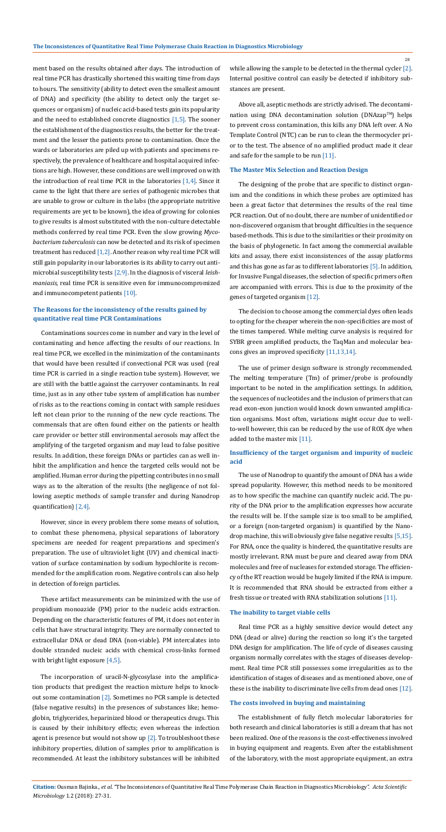However, since in every problem there some means of solution, to combat these phenomena, physical separations of laboratory specimens are needed for reagent preparations and specimen's preparation. The use of ultraviolet light (UV) and chemical inactivation of surface contamination by sodium hypochlorite is recommended for the amplification room. Negative controls can also help in detection of foreign particles.

while allowing the sample to be detected in the thermal cycler [2]. Internal positive control can easily be detected if inhibitory substances are present.

The incorporation of uracil-N-glycosylase into the amplification products that predigest the reaction mixture helps to knockout some contamination [2]. Sometimes no PCR sample is detected (false negative results) in the presences of substances like; hemoglobin, triglycerides, heparinized blood or therapeutics drugs. This is caused by their inhibitory effects; even whereas the infection agent is presence but would not show up  $[2]$ . To troubleshoot these inhibitory properties, dilution of samples prior to amplification is recommended. At least the inhibitory substances will be inhibited

Above all, aseptic methods are strictly advised. The decontamination using DNA decontamination solution (DNAzap™) helps to prevent cross contamination, this kills any DNA left over. A No Template Control (NTC) can be run to clean the thermocycler prior to the test. The absence of no amplified product made it clear and safe for the sample to be run [11].

Contaminations sources come in number and vary in the level of contaminating and hence affecting the results of our reactions. In real time PCR, we excelled in the minimization of the contaminants that would have been resulted if convectional PCR was used (real time PCR is carried in a single reaction tube system). However, we are still with the battle against the carryover contaminants. In real time, just as in any other tube system of amplification has number of risks as to the reactions coming in contact with sample residues left not clean prior to the running of the new cycle reactions. The commensals that are often found either on the patients or health care provider or better still environmental aerosols may affect the amplifying of the targeted organism and may lead to false positive results. In addition, these foreign DNAs or particles can as well inhibit the amplification and hence the targeted cells would not be amplified. Human error during the pipetting contributes in no small ways as to the alteration of the results (the negligence of not following aseptic methods of sample transfer and during Nanodrop quantification) [2,4].

## **The Reasons for the inconsistency of the results gained by quantitative real time PCR Contaminations**

The designing of the probe that are specific to distinct organism and the conditions in which these probes are optimized has been a great factor that determines the results of the real time PCR reaction. Out of no doubt, there are number of unidentified or non-discovered organism that brought difficulties in the sequence based-methods. This is due to the similarities or their proximity on the basis of phylogenetic. In fact among the commercial available kits and assay, there exist inconsistences of the assay platforms and this has gone as far as to different laboratories [5]. In addition, for Invasive Fungal diseases, the selection of specific primers often are accompanied with errors. This is due to the proximity of the genes of targeted organism [12].

#### **The Master Mix Selection and Reaction Design**

Real time PCR as a highly sensitive device would detect any DNA (dead or alive) during the reaction so long it's the targeted DNA design for amplification. The life of cycle of diseases causing organism normally correlates with the stages of diseases development. Real time PCR still possesses some irregularities as to the identification of stages of diseases and as mentioned above, one of these is the inability to discriminate live cells from dead ones [12].

#### **The inability to target viable cells**

ment based on the results obtained after days. The introduction of real time PCR has drastically shortened this waiting time from days to hours. The sensitivity (ability to detect even the smallest amount of DNA) and specificity (the ability to detect only the target sequences or organism) of nucleic acid-based tests gain its popularity and the need to established concrete diagnostics [1,5]. The sooner the establishment of the diagnostics results, the better for the treatment and the lesser the patients prone to contamination. Once the wards or laboratories are piled up with patients and specimens respectively, the prevalence of healthcare and hospital acquired infections are high. However, these conditions are well improved on with the introduction of real time PCR in the laboratories  $[1,4]$ . Since it came to the light that there are series of pathogenic microbes that are unable to grow or culture in the labs (the appropriate nutritive requirements are yet to be known), the idea of growing for colonies to give results is almost substituted with the non-culture detectable methods conferred by real time PCR. Even the slow growing *Mycobacterium tuberculosis* can now be detected and its risk of specimen treatment has reduced [1,2]. Another reason why real time PCR will still gain popularity in our laboratories is its ability to carry out antimicrobial susceptibility tests [2,9]. In the diagnosis of visceral *leishmaniasis*, real time PCR is sensitive even for immunocompromized and immunocompetent patients [10].

These artifact measurements can be minimized with the use of propidium monoazide (PM) prior to the nucleic acids extraction. Depending on the characteristic features of PM, it does not enter in cells that have structural integrity. They are normally connected to extracellular DNA or dead DNA (non-viable). PM intercalates into double stranded nucleic acids with chemical cross-links formed

with bright light exposure [4,5].

The decision to choose among the commercial dyes often leads to opting for the cheaper wherein the non-specificities are most of the times tampered. While melting curve analysis is required for SYBR green amplified products, the TaqMan and molecular beacons gives an improved specificity [11,13,14].

The use of primer design software is strongly recommended. The melting temperature (Tm) of primer/probe is profoundly important to be noted in the amplification settings. In addition, the sequences of nucleotides and the inclusion of primers that can read exon-exon junction would knock down unwanted amplification organisms. Most often, variations might occur due to wellto-well however, this can be reduced by the use of ROX dye when added to the master mix [11].

The use of Nanodrop to quantify the amount of DNA has a wide spread popularity. However, this method needs to be monitored as to how specific the machine can quantify nucleic acid. The purity of the DNA prior to the amplification expresses how accurate the results will be. If the sample size is too small to be amplified, or a foreign (non-targeted organism) is quantified by the Nanodrop machine, this will obviously give false negative results [5,15]. For RNA, once the quality is hindered, the quantitative results are mostly irrelevant. RNA must be pure and cleared away from DNA molecules and free of nucleases for extended storage. The efficiency of the RT reaction would be hugely limited if the RNA is impure. It is recommended that RNA should be extracted from either a fresh tissue or treated with RNA stabilization solutions [11].

## **Insufficiency of the target organism and impurity of nucleic acid**

The establishment of fully fletch molecular laboratories for both research and clinical laboratories is still a dream that has not been realized. One of the reasons is the cost-effectiveness involved in buying equipment and reagents. Even after the establishment of the laboratory, with the most appropriate equipment, an extra

#### **The costs involved in buying and maintaining**

28

**Citation:** Ousman Bajinka*., et al.* "The Inconsistences of Quantitative Real Time Polymerase Chain Reaction in Diagnostics Microbiology". *Acta Scientific Microbiology* 1.2 (2018): 27-31.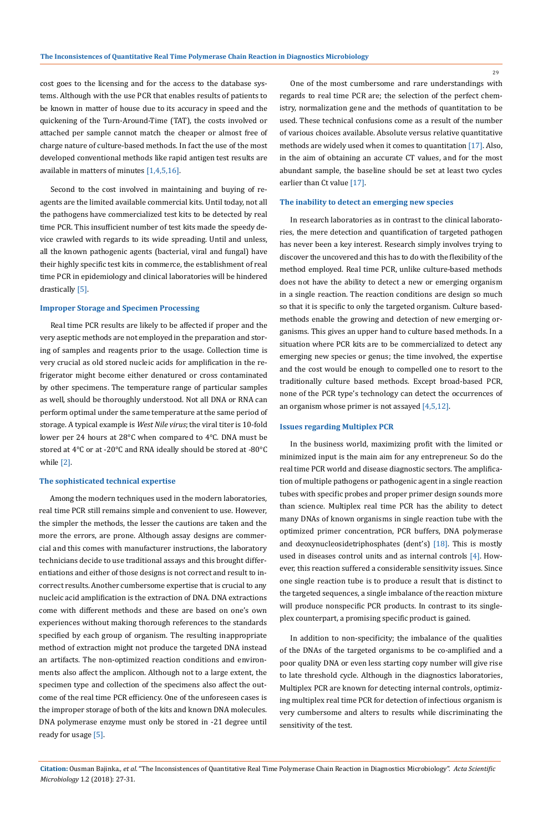cost goes to the licensing and for the access to the database systems. Although with the use PCR that enables results of patients to be known in matter of house due to its accuracy in speed and the quickening of the Turn-Around-Time (TAT), the costs involved or attached per sample cannot match the cheaper or almost free of charge nature of culture-based methods. In fact the use of the most developed conventional methods like rapid antigen test results are available in matters of minutes [1,4,5,16].

Second to the cost involved in maintaining and buying of reagents are the limited available commercial kits. Until today, not all the pathogens have commercialized test kits to be detected by real time PCR. This insufficient number of test kits made the speedy device crawled with regards to its wide spreading. Until and unless, all the known pathogenic agents (bacterial, viral and fungal) have their highly specific test kits in commerce, the establishment of real time PCR in epidemiology and clinical laboratories will be hindered drastically [5].

#### **Improper Storage and Specimen Processing**

Real time PCR results are likely to be affected if proper and the very aseptic methods are not employed in the preparation and storing of samples and reagents prior to the usage. Collection time is very crucial as old stored nucleic acids for amplification in the refrigerator might become either denatured or cross contaminated by other specimens. The temperature range of particular samples as well, should be thoroughly understood. Not all DNA or RNA can perform optimal under the same temperature at the same period of storage. A typical example is *West Nile virus*; the viral titer is 10-fold lower per 24 hours at 28°C when compared to 4°C. DNA must be stored at 4°C or at -20°C and RNA ideally should be stored at -80°C while [2].

#### **The sophisticated technical expertise**

Among the modern techniques used in the modern laboratories, real time PCR still remains simple and convenient to use. However, the simpler the methods, the lesser the cautions are taken and the more the errors, are prone. Although assay designs are commercial and this comes with manufacturer instructions, the laboratory technicians decide to use traditional assays and this brought differentiations and either of those designs is not correct and result to incorrect results. Another cumbersome expertise that is crucial to any nucleic acid amplification is the extraction of DNA. DNA extractions come with different methods and these are based on one's own experiences without making thorough references to the standards specified by each group of organism. The resulting inappropriate method of extraction might not produce the targeted DNA instead an artifacts. The non-optimized reaction conditions and environments also affect the amplicon. Although not to a large extent, the specimen type and collection of the specimens also affect the outcome of the real time PCR efficiency. One of the unforeseen cases is the improper storage of both of the kits and known DNA molecules. DNA polymerase enzyme must only be stored in -21 degree until ready for usage [5].

One of the most cumbersome and rare understandings with regards to real time PCR are; the selection of the perfect chemistry, normalization gene and the methods of quantitation to be used. These technical confusions come as a result of the number of various choices available. Absolute versus relative quantitative methods are widely used when it comes to quantitation [17]. Also, in the aim of obtaining an accurate CT values, and for the most abundant sample, the baseline should be set at least two cycles earlier than Ct value [17].

#### **The inability to detect an emerging new species**

In research laboratories as in contrast to the clinical laboratories, the mere detection and quantification of targeted pathogen has never been a key interest. Research simply involves trying to discover the uncovered and this has to do with the flexibility of the method employed. Real time PCR, unlike culture-based methods does not have the ability to detect a new or emerging organism in a single reaction. The reaction conditions are design so much so that it is specific to only the targeted organism. Culture basedmethods enable the growing and detection of new emerging organisms. This gives an upper hand to culture based methods. In a situation where PCR kits are to be commercialized to detect any emerging new species or genus; the time involved, the expertise and the cost would be enough to compelled one to resort to the traditionally culture based methods. Except broad-based PCR, none of the PCR type's technology can detect the occurrences of an organism whose primer is not assayed [4,5,12].

#### **Issues regarding Multiplex PCR**

In the business world, maximizing profit with the limited or minimized input is the main aim for any entrepreneur. So do the real time PCR world and disease diagnostic sectors. The amplification of multiple pathogens or pathogenic agent in a single reaction tubes with specific probes and proper primer design sounds more than science. Multiplex real time PCR has the ability to detect many DNAs of known organisms in single reaction tube with the optimized primer concentration, PCR buffers, DNA polymerase and deoxynucleosidetriphosphates (dent's) [18]. This is mostly used in diseases control units and as internal controls  $[4]$ . However, this reaction suffered a considerable sensitivity issues. Since one single reaction tube is to produce a result that is distinct to the targeted sequences, a single imbalance of the reaction mixture will produce nonspecific PCR products. In contrast to its singleplex counterpart, a promising specific product is gained.

In addition to non-specificity; the imbalance of the qualities of the DNAs of the targeted organisms to be co-amplified and a poor quality DNA or even less starting copy number will give rise to late threshold cycle. Although in the diagnostics laboratories, Multiplex PCR are known for detecting internal controls, optimizing multiplex real time PCR for detection of infectious organism is very cumbersome and alters to results while discriminating the sensitivity of the test.

29

**Citation:** Ousman Bajinka*., et al.* "The Inconsistences of Quantitative Real Time Polymerase Chain Reaction in Diagnostics Microbiology". *Acta Scientific Microbiology* 1.2 (2018): 27-31.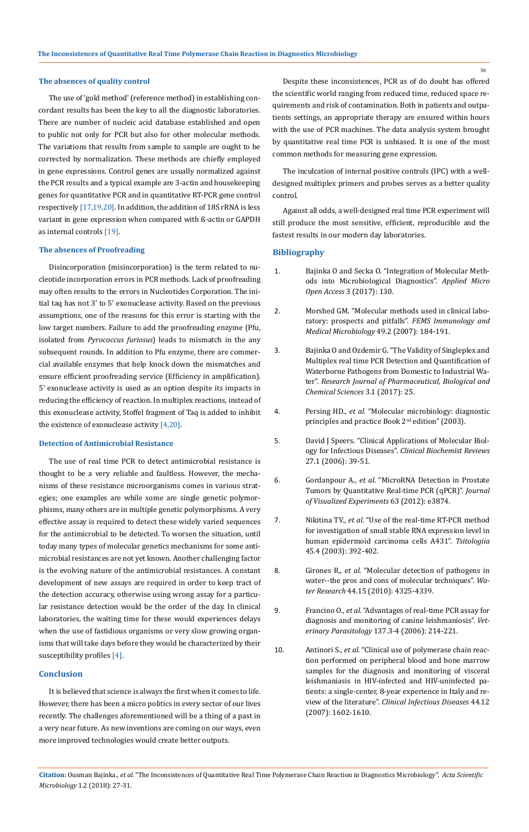#### **The absences of quality control**

The use of 'gold method' (reference method) in establishing concordant results has been the key to all the diagnostic laboratories. There are number of nucleic acid database established and open to public not only for PCR but also for other molecular methods. The variations that results from sample to sample are ought to be corrected by normalization. These methods are chiefly employed in gene expressions. Control genes are usually normalized against the PCR results and a typical example are 3-actin and housekeeping genes for quantitative PCR and in quantitative RT-PCR gene control respectively [17,19,20]. In addition, the addition of 18S rRNA is less variant in gene expression when compared with ß-actin or GAPDH as internal controls [19].

#### **The absences of Proofreading**

Disincorporation (misincorporation) is the term related to nucleotide incorporation errors in PCR methods. Lack of proofreading may often results to the errors in Nucleotides Corporation. The initial taq has not 3' to 5' exonuclease activity. Based on the previous assumptions, one of the reasons for this error is starting with the low target numbers. Failure to add the proofreading enzyme (Pfu, isolated from *Pyrococcus furiosus*) leads to mismatch in the any subsequent rounds. In addition to Pfu enzyme, there are commercial available enzymes that help knock down the mismatches and ensure efficient proofreading service (Efficiency in amplification). 5' exonuclease activity is used as an option despite its impacts in reducing the efficiency of reaction. In multiplex reactions, instead of this exonuclease activity, Stoffel fragment of Taq is added to inhibit the existence of exonuclease activity [4,20].

#### **Detection of Antimicrobial Resistance**

The use of real time PCR to detect antimicrobial resistance is thought to be a very reliable and faultless. However, the mechanisms of these resistance microorganisms comes in various strategies; one examples are while some are single genetic polymorphisms, many others are in multiple genetic polymorphisms. A very effective assay is required to detect these widely varied sequences for the antimicrobial to be detected. To worsen the situation, until today many types of molecular genetics mechanisms for some antimicrobial resistances are not yet known. Another challenging factor is the evolving nature of the antimicrobial resistances. A constant development of new assays are required in order to keep tract of the detection accuracy, otherwise using wrong assay for a particular resistance detection would be the order of the day. In clinical laboratories, the waiting time for these would experiences delays when the use of fastidious organisms or very slow growing organisms that will take days before they would be characterized by their susceptibility profiles [4].

#### **Conclusion**

It is believed that science is always the first when it comes to life. However, there has been a micro politics in every sector of our lives recently. The challenges aforementioned will be a thing of a past in a very near future. As new inventions are coming on our ways, even more improved technologies would create better outputs.

Despite these inconsistences, PCR as of do doubt has offered the scientific world ranging from reduced time, reduced space requirements and risk of contamination. Both in patients and outpatients settings, an appropriate therapy are ensured within hours with the use of PCR machines. The data analysis system brought by quantitative real time PCR is unbiased. It is one of the most common methods for measuring gene expression.

The inculcation of internal positive controls (IPC) with a welldesigned multiplex primers and probes serves as a better quality control.

Against all odds, a well-designed real time PCR experiment will still produce the most sensitive, efficient, reproducible and the fastest results in our modern day laboratories.

## **Bibliography**

- 1. [Bajinka O and Secka O. "Integration of Molecular Meth](https://www.omicsonline.org/open-access/integration-of-molecular-methods-into-microbiological-diagnostics-2471-9315-1000130.php?aid=87511)[ods into Microbiological Diagnostics".](https://www.omicsonline.org/open-access/integration-of-molecular-methods-into-microbiological-diagnostics-2471-9315-1000130.php?aid=87511) *Applied Micro Open Access* [3 \(2017\): 130.](https://www.omicsonline.org/open-access/integration-of-molecular-methods-into-microbiological-diagnostics-2471-9315-1000130.php?aid=87511)
- 2. [Morshed GM. "Molecular methods used in clinical labo](https://www.ncbi.nlm.nih.gov/pubmed/17328752)[ratory: prospects and pitfalls".](https://www.ncbi.nlm.nih.gov/pubmed/17328752) *FEMS Immunology and [Medical Microbiology](https://www.ncbi.nlm.nih.gov/pubmed/17328752)* 49.2 (2007): 184-191.
- 3. [Bajinka O and Ozdemir G. "The Validity of Singleplex and](http://www.rjlbpcs.com/article-pdf-downloads/2017/13/123.pdf)  [Multiplex real time PCR Detection and Quantification of](http://www.rjlbpcs.com/article-pdf-downloads/2017/13/123.pdf) [Waterborne Pathogens from Domestic to Industrial Wa](http://www.rjlbpcs.com/article-pdf-downloads/2017/13/123.pdf)ter". *[Research Journal of Pharmaceutical, Biological and](http://www.rjlbpcs.com/article-pdf-downloads/2017/13/123.pdf)  [Chemical Sciences](http://www.rjlbpcs.com/article-pdf-downloads/2017/13/123.pdf)* 3.1 (2017): 25.
- 4. Persing HD., *et al*. "Molecular microbiology: diagnostic principles and practice Book 2nd edition" (2003).
- 5. [David J Speers. "Clinical Applications of Molecular Biol](https://www.ncbi.nlm.nih.gov/pmc/articles/PMC1390794/)ogy for Infectious Diseases". *[Clinical Biochemist Reviews](https://www.ncbi.nlm.nih.gov/pmc/articles/PMC1390794/)* [27.1 \(2006\): 39-51.](https://www.ncbi.nlm.nih.gov/pmc/articles/PMC1390794/)
- 6. Gordanpour A., *et al*[. "MicroRNA Detection in Prostate](https://www.ncbi.nlm.nih.gov/pubmed/22643910)  [Tumors by Quantitative Real-time PCR \(qPCR\)".](https://www.ncbi.nlm.nih.gov/pubmed/22643910) *Journal [of Visualized Experiments](https://www.ncbi.nlm.nih.gov/pubmed/22643910)* 63 (2012): e3874.
- 7. Nikitina TV., *et al*[. "Use of the real-time RT-PCR method](https://www.ncbi.nlm.nih.gov/pubmed/14520871) [for investigation of small stable RNA expression level in](https://www.ncbi.nlm.nih.gov/pubmed/14520871) [human epidermoid carcinoma cells A431".](https://www.ncbi.nlm.nih.gov/pubmed/14520871) *Tsitologiia* [45.4 \(2003\): 392-402.](https://www.ncbi.nlm.nih.gov/pubmed/14520871)
- 8. Girones R., *et al*[. "Molecular detection of pathogens in](https://www.ncbi.nlm.nih.gov/pubmed/20619868)  [water--the pros and cons of molecular techniques".](https://www.ncbi.nlm.nih.gov/pubmed/20619868) *Water Research* [44.15 \(2010\): 4325-4339.](https://www.ncbi.nlm.nih.gov/pubmed/20619868)
- 9. Francino O., *et al*[. "Advantages of real-time PCR assay for](https://www.ncbi.nlm.nih.gov/pubmed/16473467)  [diagnosis and monitoring of canine leishmaniosis".](https://www.ncbi.nlm.nih.gov/pubmed/16473467) *Veterinary Parasitology* [137.3-4 \(2006\): 214-221.](https://www.ncbi.nlm.nih.gov/pubmed/16473467)
- 10. Antinori S., *et al*[. "Clinical use of polymerase chain reac](https://www.ncbi.nlm.nih.gov/pubmed/17516404)[tion performed on peripheral blood and bone marrow](https://www.ncbi.nlm.nih.gov/pubmed/17516404)  [samples for the diagnosis and monitoring of visceral](https://www.ncbi.nlm.nih.gov/pubmed/17516404)  [leishmaniasis in HIV-infected and HIV-uninfected pa](https://www.ncbi.nlm.nih.gov/pubmed/17516404)[tients: a single-center, 8-year experience in Italy and re](https://www.ncbi.nlm.nih.gov/pubmed/17516404)view of the literature". *[Clinical Infectious Diseases](https://www.ncbi.nlm.nih.gov/pubmed/17516404)* 44.12 [\(2007\): 1602-1610.](https://www.ncbi.nlm.nih.gov/pubmed/17516404)

30

**Citation:** Ousman Bajinka*., et al.* "The Inconsistences of Quantitative Real Time Polymerase Chain Reaction in Diagnostics Microbiology". *Acta Scientific Microbiology* 1.2 (2018): 27-31.